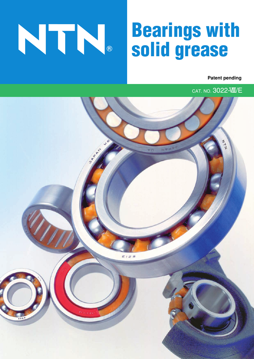# **Bearings with solid grease**

**Patent pending**

CAT. NO. 3022-VIII/E

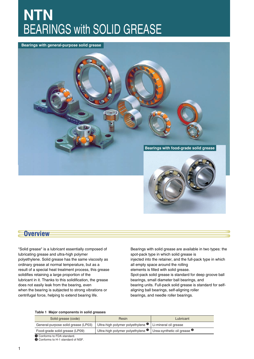# **NTN** BEARINGS with SOLID GREASE

#### **Bearings with general-purpose solid grease**



**Overview**

"Solid grease" is a lubricant essentially composed of lubricating grease and ultra-high polymer polyethylene. Solid grease has the same viscosity as ordinary grease at normal temperature, but as a result of a special heat treatment process, this grease solidifies retaining a large proportion of the lubricant in it. Thanks to this solidification, the grease does not easily leak from the bearing, even when the bearing is subjected to strong vibrations or centrifugal force, helping to extend bearing life.

Bearings with solid grease are available in two types: the spot-pack type in which solid grease is injected into the retainer, and the full-pack type in which all empty space around the rolling elements is filled with solid grease. Spot-pack solid grease is standard for deep groove ball bearings, small diameter ball bearings, and bearing units. Full-pack solid grease is standard for selfaligning ball bearings, self-aligning roller bearings, and needle roller bearings.

#### **Table 1 Major components in solid greases**

| Solid grease (code)                 | Resin                                        | Lubricant                              |
|-------------------------------------|----------------------------------------------|----------------------------------------|
| General-purpose solid grease (LP03) | Ultra-high polymer polyethylene <sup>O</sup> | Li-mineral oil grease                  |
| Food-grade solid grease (LP09)      | Ultra-high polymer polyethylene $\bullet$    | Urea-synthetic oil grease <sup>9</sup> |
| Conforms to FDA standard.           |                                              |                                        |

**2** Conforms to H-1 standard of NSF.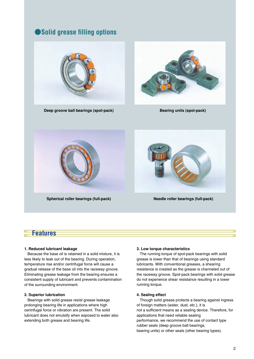# ●**Solid grease filling options**



**Deep groove ball bearings (spot-pack)**



**Bearing units (spot-pack)** 





**Needle roller bearings (full-pack)**

# **Features**

#### **1. Reduced lubricant leakage**

 Because the base oil is retained in a solid mixture, it is less likely to leak out of the bearing. During operation, temperature rise and/or centrifugal force will cause a gradual release of the base oil into the raceway groove. Eliminating grease leakage from the bearing ensures a consistent supply of lubricant and prevents contamination of the surrounding environment.

#### **2. Superior lubrication**

 Bearings with solid grease resist grease leakage prolonging bearing life in applications where high centrifugal force or vibration are present. The solid lubricant does not emulsify when exposed to water also extending both grease and bearing life.

#### **3. Low torque characteristics**

 The running torque of spot-pack bearings with solid grease is lower than that of bearings using standard lubricants. With conventional greases, a shearing resistance is created as the grease is channeled out of the raceway groove. Spot-pack bearings with solid grease do not experience shear resistance resulting in a lower running torque.

#### **4. Sealing effect**

 Though solid grease protects a bearing against ingress of foreign matters (water, dust, etc.), it is not a sufficient means as a sealing device. Therefore, for applications that need reliable sealing performance, we recommend the use of contact type rubber seals (deep groove ball bearings, bearing units) or other seals (other bearing types).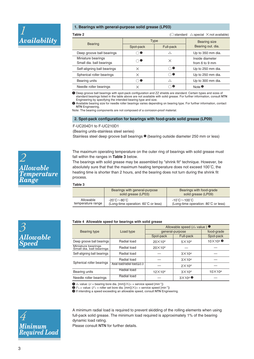

#### **1. Bearings with general-purpose solid grease (LP03)**

| Table 2                                        | $\triangle$ :special $\times$ :not available)<br>$\bigcirc$ :standard |               |                                   |  |
|------------------------------------------------|-----------------------------------------------------------------------|---------------|-----------------------------------|--|
| <b>Bearing</b>                                 | <b>Type</b>                                                           |               | <b>Bearing size</b>               |  |
|                                                | Spot-pack                                                             | Full-pack     | Bearing out. dia.                 |  |
| Deep groove ball bearings                      | $\bullet$                                                             | Δ             | Up to 350 mm dia.                 |  |
| Miniature bearings<br>Small dia. ball bearings | $\cap \mathbf{0}$                                                     | ×             | Inside diameter<br>from 6 to 9 mm |  |
| Self-aligning ball bearings                    | $\times$                                                              | $\bf o$<br>ำ  | Up to 250 mm dia.                 |  |
| Spherical roller bearings                      | ×                                                                     | $\bf o$<br>Ο, | Up to 250 mm dia.                 |  |
| Bearing units                                  | $\cap \mathbf{0}$                                                     | Δ             | Up to 300 mm dia.                 |  |
| Needle roller bearings                         | $\times$                                                              | ❷             | Note $\bullet$                    |  |

**1** Deep groove ball bearings with spot-pack configuration and ZZ shields are standard. Certain types and sizes of standard bearings listed in the table above are not available with solid grease. For further information, consult NTN Engineering by specifying the intended bearing type and size.

**2** Available bearing size for needle roller bearings varies depending on bearing type. For further information, contact NTN Engineering.

Note: The bearing components are not composed of a corrosion-proof material.

#### **2. Spot-pack configuration for bearings with food-grade solid grease (LP09)**

F-UC204D1 to F-UC210D1

(Bearing units-stainless steel series)

Stainless steel deep groove ball bearings  $\bullet$  (bearing outside diameter 250 mm or less)

The maximum operating temperature on the outer ring of bearings with solid grease must fall within the ranges in **Table 3** below.

The bearings with solid grease may be assembled by "shrink fit" technique. However, be absolutely sure that that the maximum heating temperature does not exceed 100˚C, the heating time is shorter than 2 hours, and the bearing does not turn during the shrink fit process.

#### **Table 3**

|                   | Bearings with general-purpose<br>solid grease (LP03) | Bearings with food-grade<br>solid grease (LP09) |
|-------------------|------------------------------------------------------|-------------------------------------------------|
| Allowable         | $-20^{\circ}$ C $\sim$ 80 $^{\circ}$ C $-$           | $-10^{\circ}$ C $\sim$ 100 $^{\circ}$ C $\,$    |
| temperature range | (Long-time operation: 60°C or less)                  | (Long-time operation: 80°C or less)             |

#### **Table 4 Allowable speed for bearings with solid grease**

|                                                |                                   | Allowable speed $(d_n \text{ value})$ $\bullet$ |                       |                              |  |
|------------------------------------------------|-----------------------------------|-------------------------------------------------|-----------------------|------------------------------|--|
| Bearing type                                   | Load type                         | general-purpose                                 | food-grade            |                              |  |
|                                                |                                   | Spot-pack                                       | Full-pack             | Spot-pack                    |  |
| Deep groove ball bearings                      | Radial load                       | $20\times104$                                   | $5\times104$          | $10\times 10^4$ <sup>6</sup> |  |
| Miniature bearings<br>Small dia. ball bearings | Radial load                       | $20\times104$                                   |                       |                              |  |
| Self-aligning ball bearings                    | Radial load                       |                                                 | $3\times104$          |                              |  |
|                                                | Radial load                       |                                                 | $3\times104$          |                              |  |
| Spherical roller bearings                      | Axial load/radial load $\leq 0.3$ |                                                 | $2\times104$          |                              |  |
| Bearing units                                  | Radial load                       | $12\times104$                                   | $3\times104$          | $10\times104$                |  |
| Needle roller bearings                         | Radial load                       |                                                 | $3\times10^4$ $\circ$ |                              |  |

 $\bigoplus d_n$  value: ( $d =$  bearing bore dia. [mm]) $\times (n =$  service speed [min<sup>-1</sup>])

 $\bullet$   $\bullet$   $F_{w}$ *n* value: ( $F_{w}$  = roller set bore dia. [mm]) $\times$ ( $n$  = service speed [min<sup>-1</sup>])

**3** If intending a speed exceeding an allowable speed, consult NTN Engineering.



A minimum radial load is required to prevent skidding of the rolling elements when using full-pack solid grease. The minimum load required is approximately 1% of the bearing dynamic load rating.

Please consult NTN for further details.



*3*

*Allowable*

*Speed*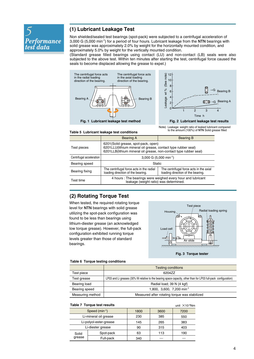

# **(1) Lubricant Leakage Test**

Non shielded/sealed test bearings (spot-pack) were subjected to a centrifugal acceleration of 3,000 G (5,000 min-1) for a period of four hours. Lubricant leakage from the NTN bearings with solid grease was approximately 2.0% by weight for the horizontally mounted condition, and approximately 5.0% by weight for the vertically mounted condition.

(Standard grease filled bearings using contact (LU) and non-contact (LB) seals were also subjected to the above test. Within ten minutes after starting the test, centrifugal force caused the seals to become displaced allowing the grease to expel.)





#### **Fig. 2 Lubricant leakage test results**

Note) Leakage: weight ratio of leaked lubricant compared to the amount (100%) of NTN Solid grease filled

#### **Table 5 Lubricant leakage test conditions**

|                          | <b>Bearing A</b>                                                                                                                                                          | <b>Bearing B</b> |  |
|--------------------------|---------------------------------------------------------------------------------------------------------------------------------------------------------------------------|------------------|--|
| Test pieces              | 6201(Solid grease, spot-pack, open)<br>6201LLU(lithium mineral oil grease, contact type rubber seal)<br>6201LLB(lithium mineral oil grease, non-contact type rubber seal) |                  |  |
| Centrifugal acceleration | 3,000 G $(5,000 \text{ min}^{-1})$                                                                                                                                        |                  |  |
| Bearing speed            | Static                                                                                                                                                                    |                  |  |
| Bearing fixing           | The centrifugal force acts in the axial<br>The centrifugal force acts in the radial<br>loading direction of the bearing.<br>loading direction of the bearing.             |                  |  |
| Test time                | 4 hours: The bearings were weighed every hour and lubricant<br>leakage (weight ratio) was determined.                                                                     |                  |  |
|                          |                                                                                                                                                                           |                  |  |

## **(2) Rotating Torque Test**

When tested, the required rotating torque level for NTN bearings with solid grease utilizing the spot-pack configuration was found to be less than bearings using lithium-diester grease (an acknowledged low torque grease). However, the full-pack configuration exhibited running torque levels greater than those of standard bearings.



**Fig. 3 Torque tester**

#### **Table 6 Torque testing conditions**

|                  | <b>Testing conditions</b>                                                                                          |
|------------------|--------------------------------------------------------------------------------------------------------------------|
| Test piece       | 6204ZZ                                                                                                             |
| Test grease      | LP03 and Li greases (30% fill relative to the bearing space capacity, other than for LP03 full-pack configuration) |
| Bearing load     | Radial load; 39 N {4 kgf}                                                                                          |
| Bearing speed    | 1,800, 3,600, 7,200 min <sup>-1</sup>                                                                              |
| Measuring method | Measured after rotating torque was stabilized                                                                      |

#### **Table 7 Torque test results unit**  $\times$ **10<sup>-4</sup>Nm** Speed (min-1) Li-mineral oil grease Li-polyol-ester-grease Li-diester grease Solid grease Spot-pack Full-pack 1800 3600 7200 230 385 550 145 | 265 | 383 90 315 403 63 113 190  $340$   $-$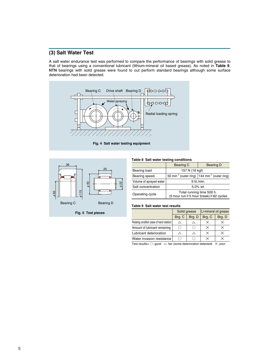# **(3) Salt Water Test**

A salt water endurance test was performed to compare the performance of bearings with solid grease to that of bearings using a conventional lubricant (lithium-mineral oil based grease). As noted in **Table 9**, NTN bearings with solid grease were found to out perform standard bearings although some surface deterioration had been detected.





**Fig. 5 Test pieces**

#### **Table 8 Salt water testing conditions**

|                         | <b>Bearing C</b>                                                  | <b>Bearing D</b>                                                        |  |
|-------------------------|-------------------------------------------------------------------|-------------------------------------------------------------------------|--|
| Bearing load            | 157 N {16 kgf}                                                    |                                                                         |  |
| Bearing speed           |                                                                   | 50 min <sup>-1</sup> (outer ring) $ 144$ min <sup>-1</sup> (outer ring) |  |
| Volume of sprayed water | 9 lit./min.                                                       |                                                                         |  |
| Salt concentration      | $5.0\%$ wt.                                                       |                                                                         |  |
| Operating cycle         | Total running time 500 h.<br>(5 hour run+5 hour break) X62 cycles |                                                                         |  |

#### **Table 9 Salt water test results**

|                                            | Solid grease |        | Li-mineral oil grease |        |
|--------------------------------------------|--------------|--------|-----------------------|--------|
|                                            | Brg. C       | Brg. D | Brg. C                | Brg. D |
| Rotating condition (ease of hand rotation) | ∧            |        | ×                     |        |
| Amount of lubricant remaining              | H.           |        | ×                     |        |
| Lubricant deterioration                    | Δ            |        | ×                     |        |
| Water invasion resistance                  |              |        | ×                     |        |

Test results= ○: good △: fair (some deterioration detected)  $\times$ : poor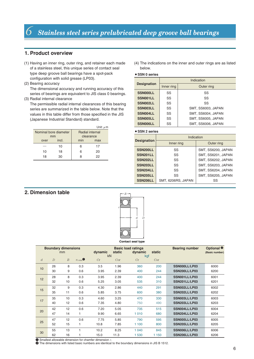### **1. Product overview**

- (1) Having an inner ring, outer ring, and retainer each made of a stainless steel, this unique series of contact seal type deep groove ball bearings have a spot-pack configuration with solid grease (LP03).
- (2) Bearing accuracy

The dimensional accuracy and running accuracy of this series of bearings are equivalent to JIS class 0 bearings.

(3) Radial internal clearance

The permissible radial internal clearances of this bearing series are summarized in the table below. Note that the values in this table differ from those specified in the JIS (Japanese Industrial Standard) standard.

|                       |       |                 | Unit: $\mu$ m |
|-----------------------|-------|-----------------|---------------|
| Nominal bore diameter |       | Radial internal |               |
| mm                    |       |                 | clearance     |
| over                  | incl. | min             | max           |
|                       | 10    | 6               | 17            |
| 10                    | 18    | 6               | 20            |
| 18                    | 30    | 8               | 22            |

(4) The indications on the inner and outer rings are as listed below.

#### ¡**SSN 0 series**

|                    | Indication |                    |  |
|--------------------|------------|--------------------|--|
| <b>Designation</b> | Inner ring | Outer ring         |  |
| <b>SSN000LL</b>    | SS         | SS                 |  |
| SSN001LL           | SS<br>SS   |                    |  |
| SSN002LL           | SS<br>SS   |                    |  |
| SSN003LL           | SS         | SMT, SS6003, JAPAN |  |
| SSN004LL           | SS         | SMT, SS6004, JAPAN |  |
| <b>SSN005LL</b>    | SS         | SMT, SS6005, JAPAN |  |
| <b>SSN006LL</b>    | SS         | SMT. SS6006. JAPAN |  |

#### ¡**SSN 2 series**

|                    | Indication         |                    |  |
|--------------------|--------------------|--------------------|--|
| <b>Designation</b> | Inner ring         | Outer ring         |  |
| <b>SSN200LL</b>    | SS                 | SMT, SS6200, JAPAN |  |
| SSN201LL           | SS                 | SMT, SS6201, JAPAN |  |
| SSN202LL           | SS                 | SMT, SS6202, JAPAN |  |
| SSN203LL           | SS                 | SMT, SS6203, JAPAN |  |
| SSN204LL           | SS                 | SMT. SS6204. JAPAN |  |
| SSN205LL           | SS                 | SMT, SS6205, JAPAN |  |
| SSN206LL           | SMT, 6206RS, JAPAN | SS                 |  |

### **2. Dimension table**



| <b>Contact seal type</b> |  |
|--------------------------|--|
|                          |  |

| <b>Boundary dimensions</b> |                |                |                                                  | <b>Basic load ratings</b> |         |           |       | <b>Bearing number</b> | Optional <sup>@</sup> |
|----------------------------|----------------|----------------|--------------------------------------------------|---------------------------|---------|-----------|-------|-----------------------|-----------------------|
| mm                         |                |                | dynamic                                          | static                    | dynamic | static    |       | (Basic number)        |                       |
| $\mathfrak{d}$             | $\overline{D}$ | $\overline{B}$ | $r_{\rm s\,min}$ <sup><math>\bullet</math></sup> | kN<br>Cr                  | Cor     | kgf<br>Cr | Cor   |                       |                       |
|                            |                |                |                                                  |                           |         |           |       |                       |                       |
| 10                         | 26             | 8              | 0.3                                              | 3.5                       | 1.96    | 360       | 200   | SSN000LL/LP03         | 6000                  |
|                            | 30             | 9              | 0.6                                              | 3.95                      | 2.39    | 400       | 244   | SSN200LL/LP03         | 6200                  |
| 12                         | 28             | 8              | 0.3                                              | 3.95                      | 2.39    | 400       | 244   | SSN001LL/LP03         | 6001                  |
|                            | 32             | 10             | 0.6                                              | 5.25                      | 3.05    | 535       | 310   | SSN201LL/LP03         | 6201                  |
| 15                         | 32             | 9              | 0.3                                              | 4.30                      | 2.86    | 440       | 291   | SSN002LL/LP03         | 6002                  |
|                            | 35             | 11             | 0.6                                              | 5.85                      | 3.75    | 600       | 380   | SSN202LL/LP03         | 6202                  |
| 17                         | 35             | 10             | 0.3                                              | 4.60                      | 3.25    | 470       | 330   | SSN003LL/LP03         | 6003                  |
|                            | 40             | 12             | 0.6                                              | 7.35                      | 4.80    | 750       | 490   | SSN203LL/LP03         | 6203                  |
| 20                         | 42             | 12             | 0.6                                              | 7.20                      | 5.05    | 735       | 515   | SSN004LL/LP03         | 6004                  |
|                            | 47             | 14             | 1                                                | 9.90                      | 6.65    | 1010      | 680   | SSN204LL/LP03         | 6204                  |
| 25                         | 47             | 12             | 0.6                                              | 7.75                      | 5.85    | 790       | 595   | SSN005LL/LP03         | 6005                  |
|                            | 52             | 15             | 1                                                | 10.8                      | 7.85    | 1 100     | 800   | <b>SSN205LL/LP03</b>  | 6205                  |
| 30                         | 55             | 13             | 1                                                | 10.2                      | 8.25    | 1 0 4 0   | 845   | SSN006LL/LP03         | 6006                  |
|                            | 62             | 16             | 1                                                | 15.0                      | 11.3    | 1 530     | 1 150 | SSN206LL/LP03         | 6206                  |

**1** Smallest allowable dimension for chamfer dimension *r*.

**2** The dimensions with listed basic numbers are identical to the boundary dimensions in JIS B 1512.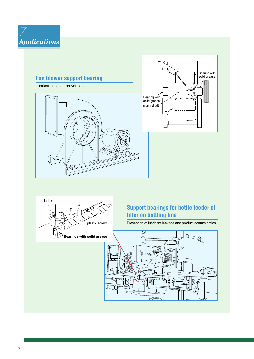

# **Fan blower support bearing** Lubricant suction prevention fan Bearing with solid grease main shaft Bearing with solid grease



# **Support bearings for bottle feeder of filler on bottling line**

Prevention of lubricant leakage and product contamination

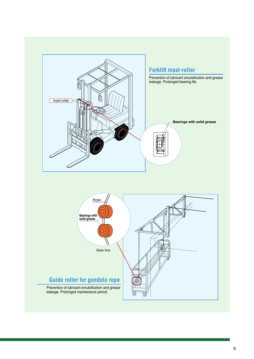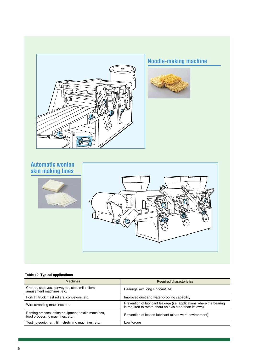



# **Table 10 Typical applications**

| <b>Machines</b>                                                                         | Required characteristics                                                                                                         |
|-----------------------------------------------------------------------------------------|----------------------------------------------------------------------------------------------------------------------------------|
| Cranes, sheaves, conveyors, steel mill rollers,<br>amusement machines, etc.             | Bearings with long lubricant life                                                                                                |
| Fork lift truck mast rollers, conveyors, etc.                                           | Improved dust and water-proofing capability                                                                                      |
| Wire stranding machines etc.                                                            | Prevention of lubricant leakage (i.e. applications where the bearing<br>is required to rotate about an axis other than its own). |
| Printing presses, office equipment, textile machines,<br>food processing machines, etc. | Prevention of leaked lubricant (clean work environment)                                                                          |
| Testing equipment, film stretching machines, etc.                                       | Low torque                                                                                                                       |